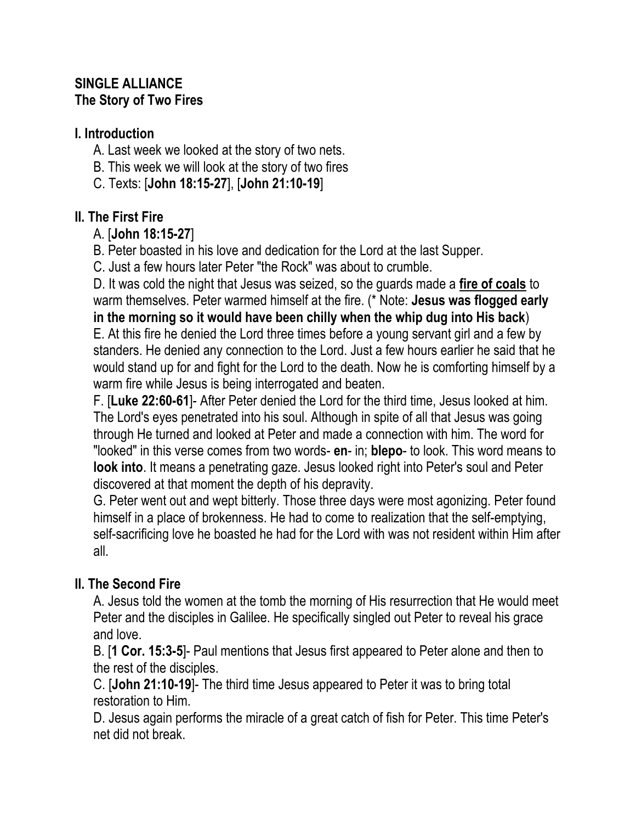## **SINGLE ALLIANCE The Story of Two Fires**

## **I. Introduction**

A. Last week we looked at the story of two nets.

- B. This week we will look at the story of two fires
- C. Texts: [**John 18:15-27**], [**John 21:10-19**]

# **II. The First Fire**

# A. [**John 18:15-27**]

B. Peter boasted in his love and dedication for the Lord at the last Supper.

C. Just a few hours later Peter "the Rock" was about to crumble.

D. It was cold the night that Jesus was seized, so the guards made a **fire of coals** to warm themselves. Peter warmed himself at the fire. (\* Note: **Jesus was flogged early in the morning so it would have been chilly when the whip dug into His back**) E. At this fire he denied the Lord three times before a young servant girl and a few by

standers. He denied any connection to the Lord. Just a few hours earlier he said that he would stand up for and fight for the Lord to the death. Now he is comforting himself by a warm fire while Jesus is being interrogated and beaten.

F. [**Luke 22:60-61**]- After Peter denied the Lord for the third time, Jesus looked at him. The Lord's eyes penetrated into his soul. Although in spite of all that Jesus was going through He turned and looked at Peter and made a connection with him. The word for "looked" in this verse comes from two words- **en**- in; **blepo**- to look. This word means to **look into**. It means a penetrating gaze. Jesus looked right into Peter's soul and Peter discovered at that moment the depth of his depravity.

G. Peter went out and wept bitterly. Those three days were most agonizing. Peter found himself in a place of brokenness. He had to come to realization that the self-emptying, self-sacrificing love he boasted he had for the Lord with was not resident within Him after all.

# **II. The Second Fire**

A. Jesus told the women at the tomb the morning of His resurrection that He would meet Peter and the disciples in Galilee. He specifically singled out Peter to reveal his grace and love.

B. [**1 Cor. 15:3-5**]- Paul mentions that Jesus first appeared to Peter alone and then to the rest of the disciples.

C. [**John 21:10-19**]- The third time Jesus appeared to Peter it was to bring total restoration to Him.

D. Jesus again performs the miracle of a great catch of fish for Peter. This time Peter's net did not break.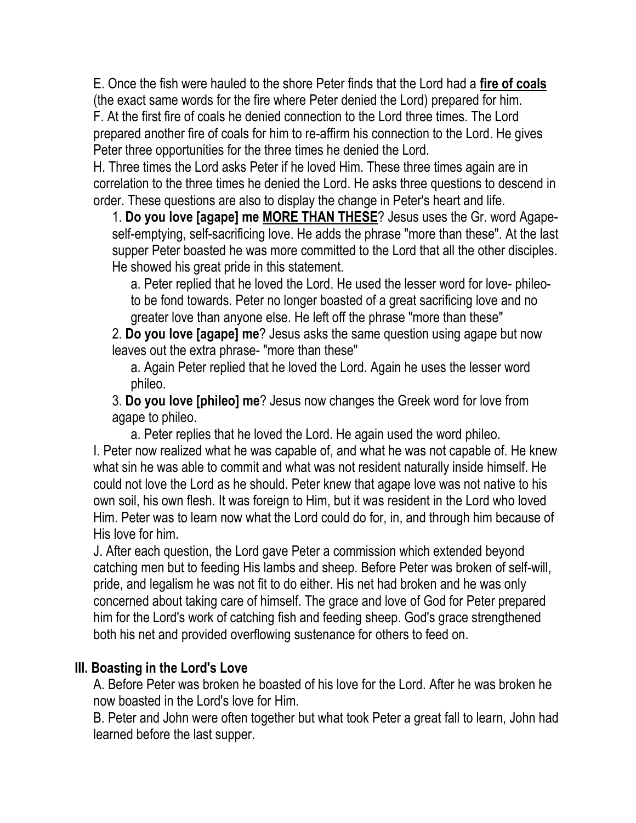E. Once the fish were hauled to the shore Peter finds that the Lord had a **fire of coals** (the exact same words for the fire where Peter denied the Lord) prepared for him. F. At the first fire of coals he denied connection to the Lord three times. The Lord prepared another fire of coals for him to re-affirm his connection to the Lord. He gives Peter three opportunities for the three times he denied the Lord.

H. Three times the Lord asks Peter if he loved Him. These three times again are in correlation to the three times he denied the Lord. He asks three questions to descend in order. These questions are also to display the change in Peter's heart and life.

1. **Do you love [agape] me MORE THAN THESE**? Jesus uses the Gr. word Agapeself-emptying, self-sacrificing love. He adds the phrase "more than these". At the last supper Peter boasted he was more committed to the Lord that all the other disciples. He showed his great pride in this statement.

a. Peter replied that he loved the Lord. He used the lesser word for love- phileoto be fond towards. Peter no longer boasted of a great sacrificing love and no greater love than anyone else. He left off the phrase "more than these"

2. **Do you love [agape] me**? Jesus asks the same question using agape but now leaves out the extra phrase- "more than these"

a. Again Peter replied that he loved the Lord. Again he uses the lesser word phileo.

3. **Do you love [phileo] me**? Jesus now changes the Greek word for love from agape to phileo.

a. Peter replies that he loved the Lord. He again used the word phileo. I. Peter now realized what he was capable of, and what he was not capable of. He knew what sin he was able to commit and what was not resident naturally inside himself. He could not love the Lord as he should. Peter knew that agape love was not native to his own soil, his own flesh. It was foreign to Him, but it was resident in the Lord who loved Him. Peter was to learn now what the Lord could do for, in, and through him because of His love for him.

J. After each question, the Lord gave Peter a commission which extended beyond catching men but to feeding His lambs and sheep. Before Peter was broken of self-will, pride, and legalism he was not fit to do either. His net had broken and he was only concerned about taking care of himself. The grace and love of God for Peter prepared him for the Lord's work of catching fish and feeding sheep. God's grace strengthened both his net and provided overflowing sustenance for others to feed on.

### **III. Boasting in the Lord's Love**

A. Before Peter was broken he boasted of his love for the Lord. After he was broken he now boasted in the Lord's love for Him.

B. Peter and John were often together but what took Peter a great fall to learn, John had learned before the last supper.